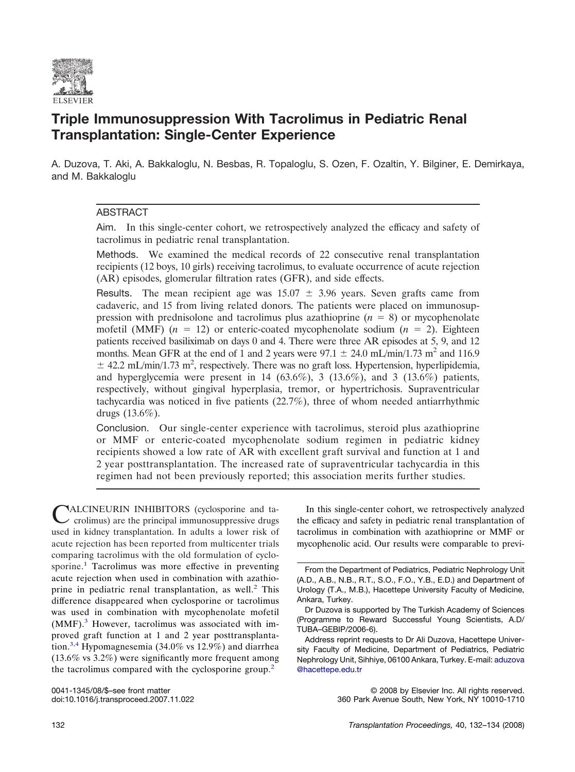

# **Triple Immunosuppression With Tacrolimus in Pediatric Renal Transplantation: Single-Center Experience**

A. Duzova, T. Aki, A. Bakkaloglu, N. Besbas, R. Topaloglu, S. Ozen, F. Ozaltin, Y. Bilginer, E. Demirkaya, and M. Bakkaloglu

# ABSTRACT

Aim. In this single-center cohort, we retrospectively analyzed the efficacy and safety of tacrolimus in pediatric renal transplantation.

Methods. We examined the medical records of 22 consecutive renal transplantation recipients (12 boys, 10 girls) receiving tacrolimus, to evaluate occurrence of acute rejection (AR) episodes, glomerular filtration rates (GFR), and side effects.

Results. The mean recipient age was  $15.07 \pm 3.96$  years. Seven grafts came from cadaveric, and 15 from living related donors. The patients were placed on immunosuppression with prednisolone and tacrolimus plus azathioprine  $(n = 8)$  or mycophenolate mofetil (MMF)  $(n = 12)$  or enteric-coated mycophenolate sodium  $(n = 2)$ . Eighteen patients received basiliximab on days 0 and 4. There were three AR episodes at 5, 9, and 12 months. Mean GFR at the end of 1 and 2 years were  $97.1 \pm 24.0 \text{ mL/min}/1.73 \text{ m}^2$  and 116.9  $\pm$  42.2 mL/min/1.73 m<sup>2</sup>, respectively. There was no graft loss. Hypertension, hyperlipidemia, and hyperglycemia were present in 14 (63.6%), 3 (13.6%), and 3 (13.6%) patients, respectively, without gingival hyperplasia, tremor, or hypertrichosis. Supraventricular tachycardia was noticed in five patients (22.7%), three of whom needed antiarrhythmic drugs (13.6%).

Conclusion. Our single-center experience with tacrolimus, steroid plus azathioprine or MMF or enteric-coated mycophenolate sodium regimen in pediatric kidney recipients showed a low rate of AR with excellent graft survival and function at 1 and 2 year posttransplantation. The increased rate of supraventricular tachycardia in this regimen had not been previously reported; this association merits further studies.

CALCINEURIN INHIBITORS (cyclosporine and ta-crolimus) are the principal immunosuppressive drugs used in kidney transplantation. In adults a lower risk of acute rejection has been reported from multicenter trials comparing tacrolimus with the old formulation of cyclo-sporine.<sup>[1](#page-1-0)</sup> Tacrolimus was more effective in preventing acute rejection when used in combination with azathio-prine in pediatric renal transplantation, as well.<sup>[2](#page-1-0)</sup> This difference disappeared when cyclosporine or tacrolimus was used in combination with mycophenolate mofetil (MMF). [3](#page-2-0) However, tacrolimus was associated with improved graft function at 1 and 2 year posttransplanta-tion.<sup>[3,4](#page-2-0)</sup> Hypomagnesemia (34.0% vs 12.9%) and diarrhea (13.6% vs 3.2%) were significantly more frequent among the tacrolimus compared with the cyclosporine group. [2](#page-1-0)

In this single-center cohort, we retrospectively analyzed the efficacy and safety in pediatric renal transplantation of tacrolimus in combination with azathioprine or MMF or mycophenolic acid. Our results were comparable to previ-

0041-1345/08/\$–see front matter © 2008 by Elsevier Inc. All rights reserved. 360 Park Avenue South, New York, NY 10010-1710

From the Department of Pediatrics, Pediatric Nephrology Unit (A.D., A.B., N.B., R.T., S.O., F.O., Y.B., E.D.) and Department of Urology (T.A., M.B.), Hacettepe University Faculty of Medicine, Ankara, Turkey.

Dr Duzova is supported by The Turkish Academy of Sciences (Programme to Reward Successful Young Scientists, A.D/ TUBA–GEBIP/2006-6).

Address reprint requests to Dr Ali Duzova, Hacettepe University Faculty of Medicine, Department of Pediatrics, Pediatric Nephrology Unit, Sihhiye, 06100 Ankara, Turkey. E-mail: [aduzova](aduzova@hacettepe.edu.tr) [@hacettepe.edu.tr](aduzova@hacettepe.edu.tr)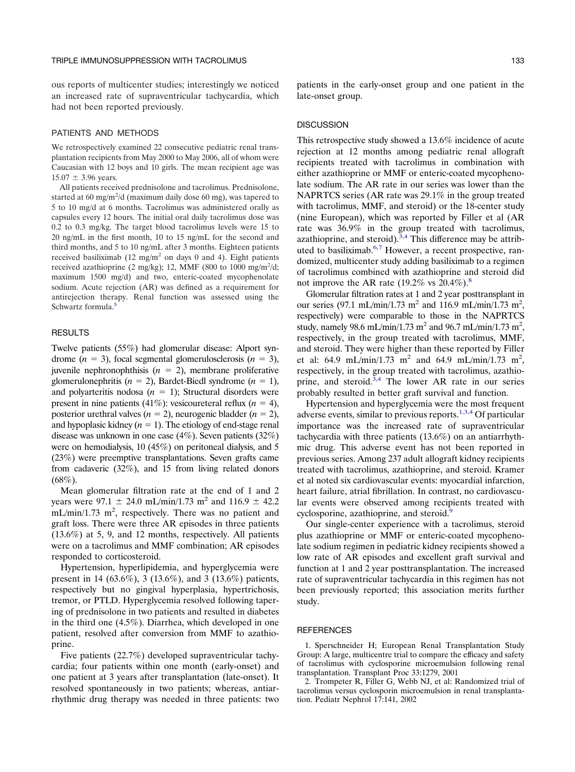<span id="page-1-0"></span>ous reports of multicenter studies; interestingly we noticed an increased rate of supraventricular tachycardia, which had not been reported previously.

#### PATIENTS AND METHODS

We retrospectively examined 22 consecutive pediatric renal transplantation recipients from May 2000 to May 2006, all of whom were Caucasian with 12 boys and 10 girls. The mean recipient age was  $15.07 \pm 3.96$  years.

All patients received prednisolone and tacrolimus. Prednisolone, started at 60 mg/m<sup>2</sup>/d (maximum daily dose 60 mg), was tapered to 5 to 10 mg/d at 6 months. Tacrolimus was administered orally as capsules every 12 hours. The initial oral daily tacrolimus dose was 0.2 to 0.3 mg/kg. The target blood tacrolimus levels were 15 to 20 ng/mL in the first month, 10 to 15 ng/mL for the second and third months, and 5 to 10 ng/mL after 3 months. Eighteen patients received basiliximab (12 mg/m<sup>2</sup> on days 0 and 4). Eight patients received azathioprine  $(2 \text{ mg/kg})$ ; 12, MMF  $(800 \text{ to } 1000 \text{ mg/m}^2/\text{d})$ ; maximum 1500 mg/d) and two, enteric-coated mycophenolate sodium. Acute rejection (AR) was defined as a requirement for antirejection therapy. Renal function was assessed using the Schwartz formula. [5](#page-2-0)

## RESULTS

Twelve patients (55%) had glomerular disease: Alport syndrome  $(n = 3)$ , focal segmental glomerulosclerosis  $(n = 3)$ , juvenile nephronophthisis  $(n = 2)$ , membrane proliferative glomerulonephritis  $(n = 2)$ , Bardet-Biedl syndrome  $(n = 1)$ , and polyarteritis nodosa  $(n = 1)$ ; Structural disorders were present in nine patients  $(41\%)$ : vesicoureteral reflux  $(n = 4)$ , posterior urethral valves  $(n = 2)$ , neurogenic bladder  $(n = 2)$ , and hypoplasic kidney  $(n = 1)$ . The etiology of end-stage renal disease was unknown in one case (4%). Seven patients (32%) were on hemodialysis, 10 (45%) on peritoneal dialysis, and 5 (23%) were preemptive transplantations. Seven grafts came from cadaveric (32%), and 15 from living related donors  $(68\%)$ .

Mean glomerular filtration rate at the end of 1 and 2 vears were 97.1  $\pm$  24.0 mL/min/1.73 m<sup>2</sup> and 116.9  $\pm$  42.2  $mL/min/1.73$  m<sup>2</sup>, respectively. There was no patient and graft loss. There were three AR episodes in three patients (13.6%) at 5, 9, and 12 months, respectively. All patients were on a tacrolimus and MMF combination; AR episodes responded to corticosteroid.

Hypertension, hyperlipidemia, and hyperglycemia were present in 14 (63.6%), 3 (13.6%), and 3 (13.6%) patients, respectively but no gingival hyperplasia, hypertrichosis, tremor, or PTLD. Hyperglycemia resolved following tapering of prednisolone in two patients and resulted in diabetes in the third one (4.5%). Diarrhea, which developed in one patient, resolved after conversion from MMF to azathioprine.

Five patients (22.7%) developed supraventricular tachycardia; four patients within one month (early-onset) and one patient at 3 years after transplantation (late-onset). It resolved spontaneously in two patients; whereas, antiarrhythmic drug therapy was needed in three patients: two

patients in the early-onset group and one patient in the late-onset group.

#### **DISCUSSION**

This retrospective study showed a 13.6% incidence of acute rejection at 12 months among pediatric renal allograft recipients treated with tacrolimus in combination with either azathioprine or MMF or enteric-coated mycophenolate sodium. The AR rate in our series was lower than the NAPRTCS series (AR rate was 29.1% in the group treated with tacrolimus, MMF, and steroid) or the 18-center study (nine European), which was reported by Filler et al (AR rate was 36.9% in the group treated with tacrolimus, azathioprine, and steroid). $3,4$  This difference may be attrib-uted to basiliximab.<sup>[6,7](#page-2-0)</sup> However, a recent prospective, randomized, multicenter study adding basiliximab to a regimen of tacrolimus combined with azathioprine and steroid did not improve the AR rate  $(19.2\% \text{ vs } 20.4\%).$ <sup>[8](#page-2-0)</sup>

Glomerular filtration rates at 1 and 2 year posttransplant in our series (97.1 mL/min/1.73 m<sup>2</sup> and 116.9 mL/min/1.73 m<sup>2</sup>, respectively) were comparable to those in the NAPRTCS study, namely 98.6 mL/min/1.73 m<sup>2</sup> and 96.7 mL/min/1.73 m<sup>2</sup>, respectively, in the group treated with tacrolimus, MMF, and steroid. They were higher than these reported by Filler et al: 64.9 mL/min/1.73 m<sup>2</sup> and 64.9 mL/min/1.73 m<sup>2</sup>, respectively, in the group treated with tacrolimus, azathio-prine, and steroid.<sup>[3,4](#page-2-0)</sup> The lower AR rate in our series probably resulted in better graft survival and function.

Hypertension and hyperglycemia were the most frequent adverse events, similar to previous reports.<sup>1,3,4</sup> Of particular importance was the increased rate of supraventricular tachycardia with three patients (13.6%) on an antiarrhythmic drug. This adverse event has not been reported in previous series. Among 237 adult allograft kidney recipients treated with tacrolimus, azathioprine, and steroid. Kramer et al noted six cardiovascular events: myocardial infarction, heart failure, atrial fibrillation. In contrast, no cardiovascular events were observed among recipients treated with cyclosporine, azathioprine, and steroid.<sup>[9](#page-2-0)</sup>

Our single-center experience with a tacrolimus, steroid plus azathioprine or MMF or enteric-coated mycophenolate sodium regimen in pediatric kidney recipients showed a low rate of AR episodes and excellent graft survival and function at 1 and 2 year posttransplantation. The increased rate of supraventricular tachycardia in this regimen has not been previously reported; this association merits further study.

### **REFERENCES**

1. Sperschneider H; European Renal Transplantation Study Group: A large, multicentre trial to compare the efficacy and safety of tacrolimus with cyclosporine microemulsion following renal transplantation. Transplant Proc 33:1279, 2001

2. Trompeter R, Filler G, Webb NJ, et al: Randomized trial of tacrolimus versus cyclosporin microemulsion in renal transplantation. Pediatr Nephrol 17:141, 2002